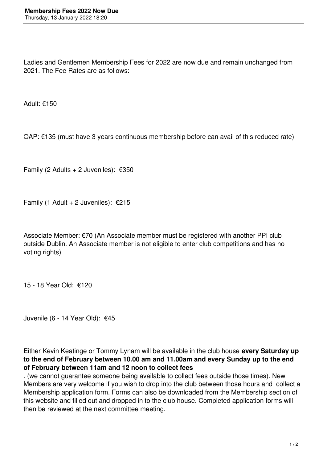Ladies and Gentlemen Membership Fees for 2022 are now due and remain unchanged from 2021. The Fee Rates are as follows:

Adult: €150

OAP: €135 (must have 3 years continuous membership before can avail of this reduced rate)

Family (2 Adults + 2 Juveniles):  $€350$ 

Family (1 Adult + 2 Juveniles):  $£215$ 

Associate Member: €70 (An Associate member must be registered with another PPI club outside Dublin. An Associate member is not eligible to enter club competitions and has no voting rights)

15 - 18 Year Old: €120

Juvenile (6 - 14 Year Old): €45

Either Kevin Keatinge or Tommy Lynam will be available in the club house **every Saturday up to the end of February between 10.00 am and 11.00am and every Sunday up to the end of February between 11am and 12 noon to collect fees**

. (we cannot guarantee someone being available to collect fees outside those times). New Members are very welcome if you wish to drop into the club between those hours and collect a Membership application form. Forms can also be downloaded from the Membership section of this website and filled out and dropped in to the club house. Completed application forms will then be reviewed at the next committee meeting.